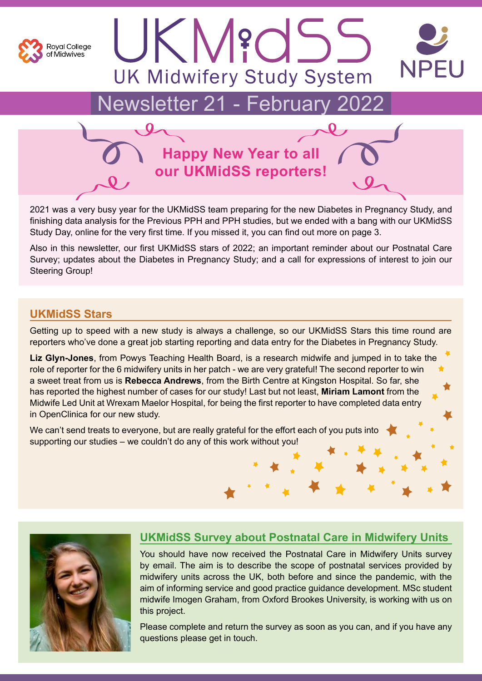

# Newsletter 21 - February 2022

**UK Midwifery Study System** 

JKM?dSS



2021 was a very busy year for the UKMidSS team preparing for the new Diabetes in Pregnancy Study, and finishing data analysis for the Previous PPH and PPH studies, but we ended with a bang with our UKMidSS Study Day, online for the very first time. If you missed it, you can find out more on page 3.

Also in this newsletter, our first UKMidSS stars of 2022; an important reminder about our Postnatal Care Survey; updates about the Diabetes in Pregnancy Study; and a call for expressions of interest to join our Steering Group!

### **UKMidSS Stars**

Getting up to speed with a new study is always a challenge, so our UKMidSS Stars this time round are reporters who've done a great job starting reporting and data entry for the Diabetes in Pregnancy Study.

**Liz Glyn-Jones**, from Powys Teaching Health Board, is a research midwife and jumped in to take the role of reporter for the 6 midwifery units in her patch - we are very grateful! The second reporter to win a sweet treat from us is **Rebecca Andrews**, from the Birth Centre at Kingston Hospital. So far, she has reported the highest number of cases for our study! Last but not least, **Miriam Lamont** from the Midwife Led Unit at Wrexam Maelor Hospital, for being the first reporter to have completed data entry in OpenClinica for our new study.

We can't send treats to everyone, but are really grateful for the effort each of you puts into supporting our studies – we couldn't do any of this work without you!



### **UKMidSS Survey about Postnatal Care in Midwifery Units**

You should have now received the Postnatal Care in Midwifery Units survey by email. The aim is to describe the scope of postnatal services provided by midwifery units across the UK, both before and since the pandemic, with the aim of informing service and good practice guidance development. MSc student midwife Imogen Graham, from Oxford Brookes University, is working with us on this project.

Please complete and return the survey as soon as you can, and if you have any questions please get in touch.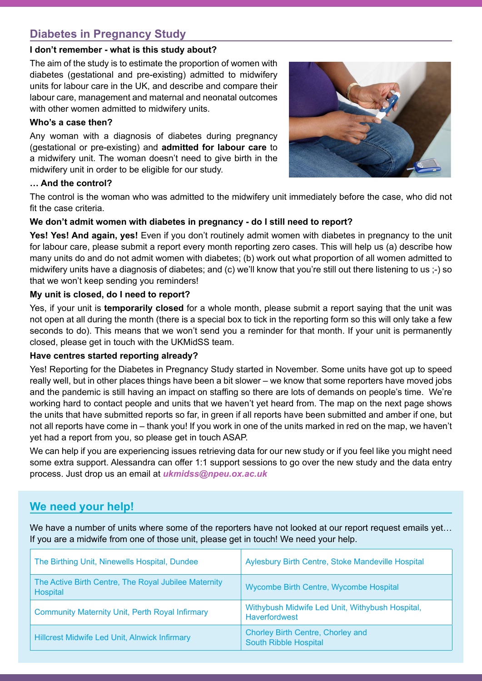### **Diabetes in Pregnancy Study**

#### **I don't remember - what is this study about?**

The aim of the study is to estimate the proportion of women with diabetes (gestational and pre-existing) admitted to midwifery units for labour care in the UK, and describe and compare their labour care, management and maternal and neonatal outcomes with other women admitted to midwifery units.

#### **Who's a case then?**

Any woman with a diagnosis of diabetes during pregnancy (gestational or pre-existing) and **admitted for labour care** to a midwifery unit. The woman doesn't need to give birth in the midwifery unit in order to be eligible for our study.



#### **… And the control?**

The control is the woman who was admitted to the midwifery unit immediately before the case, who did not fit the case criteria.

#### **We don't admit women with diabetes in pregnancy - do I still need to report?**

**Yes! Yes! And again, yes!** Even if you don't routinely admit women with diabetes in pregnancy to the unit for labour care, please submit a report every month reporting zero cases. This will help us (a) describe how many units do and do not admit women with diabetes; (b) work out what proportion of all women admitted to midwifery units have a diagnosis of diabetes; and (c) we'll know that you're still out there listening to us ;-) so that we won't keep sending you reminders!

#### **My unit is closed, do I need to report?**

Yes, if your unit is **temporarily closed** for a whole month, please submit a report saying that the unit was not open at all during the month (there is a special box to tick in the reporting form so this will only take a few seconds to do). This means that we won't send you a reminder for that month. If your unit is permanently closed, please get in touch with the UKMidSS team.

#### **Have centres started reporting already?**

Yes! Reporting for the Diabetes in Pregnancy Study started in November. Some units have got up to speed really well, but in other places things have been a bit slower – we know that some reporters have moved jobs and the pandemic is still having an impact on staffing so there are lots of demands on people's time. We're working hard to contact people and units that we haven't yet heard from. The map on the next page shows the units that have submitted reports so far, in green if all reports have been submitted and amber if one, but not all reports have come in – thank you! If you work in one of the units marked in red on the map, we haven't yet had a report from you, so please get in touch ASAP.

We can help if you are experiencing issues retrieving data for our new study or if you feel like you might need some extra support. Alessandra can offer 1:1 support sessions to go over the new study and the data entry process. Just drop us an email at *[ukmidss@npeu.ox.ac.uk](mailto:ukmidss%40npeu.ox.ac.uk?subject=)*

# **We need your help!**

We have a number of units where some of the reporters have not looked at our report request emails yet... If you are a midwife from one of those unit, please get in touch! We need your help.

| The Birthing Unit, Ninewells Hospital, Dundee                    | Aylesbury Birth Centre, Stoke Mandeville Hospital                        |
|------------------------------------------------------------------|--------------------------------------------------------------------------|
| The Active Birth Centre, The Royal Jubilee Maternity<br>Hospital | Wycombe Birth Centre, Wycombe Hospital                                   |
| <b>Community Maternity Unit, Perth Royal Infirmary</b>           | Withybush Midwife Led Unit, Withybush Hospital,<br><b>Haverfordwest</b>  |
| Hillcrest Midwife Led Unit, Alnwick Infirmary                    | <b>Chorley Birth Centre, Chorley and</b><br><b>South Ribble Hospital</b> |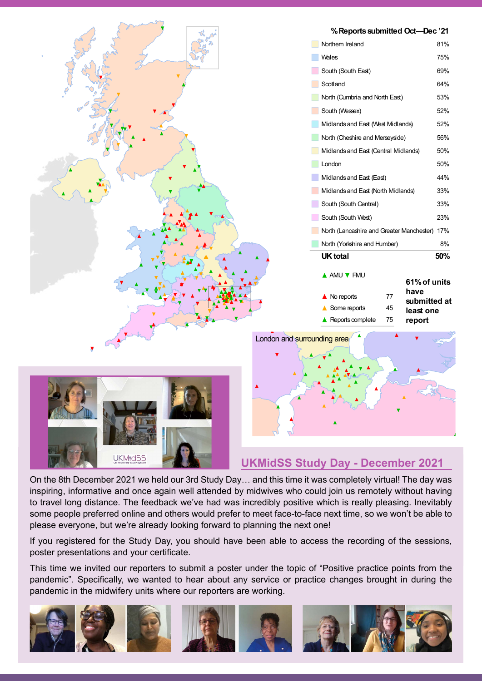

### **UKMidSS Study Day - December 2021**

On the 8th December 2021 we held our 3rd Study Day… and this time it was completely virtual! The day was inspiring, informative and once again well attended by midwives who could join us remotely without having to travel long distance. The feedback we've had was incredibly positive which is really pleasing. Inevitably some people preferred online and others would prefer to meet face-to-face next time, so we won't be able to please everyone, but we're already looking forward to planning the next one!

If you registered for the Study Day, you should have been able to access the recording of the sessions, poster presentations and your certificate.

This time we invited our reporters to submit a poster under the topic of "Positive practice points from the pandemic". Specifically, we wanted to hear about any service or practice changes brought in during the pandemic in the midwifery units where our reporters are working.